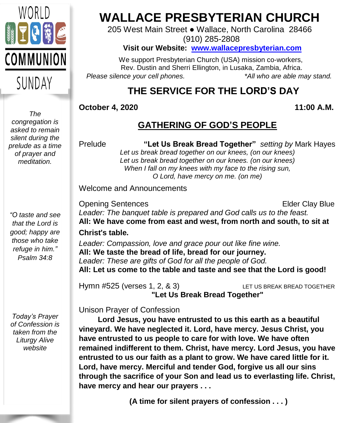

**WALLACE PRESBYTERIAN CHURCH**

205 West Main Street ● Wallace, North Carolina 28466

(910) 285-2808

### **Visit our Website: [www.wallacepresbyterian.com](http://www.wallacepresbyterian.com/)**

 We support Presbyterian Church (USA) mission co-workers, Rev. Dustin and Sherri Ellington, in Lusaka, Zambia, Africa. *Please silence your cell phones. \*All who are able may stand.*

# **THE SERVICE FOR THE LORD'S DAY**

### **October 4, 2020 11:00 A.M.**

### **GATHERING OF GOD'S PEOPLE**

Prelude **"Let Us Break Bread Together"** *setting by* Mark Hayes *Let us break bread together on our knees, (on our knees) Let us break bread together on our knees. (on our knees) When I fall on my knees with my face to the rising sun, O Lord, have mercy on me. (on me)*

Welcome and Announcements

**Opening Sentences Elder Clay Blue** *Leader: The banquet table is prepared and God calls us to the feast.* **All: We have come from east and west, from north and south, to sit at Christ**'**s table.** *Leader: Compassion, love and grace pour out like fine wine.* **All: We taste the bread of life, bread for our journey.** *Leader: These are gifts of God for all the people of God.* **All: Let us come to the table and taste and see that the Lord is good!**

Hymn #525 (verses 1, 2, & 3) LET US BREAK BREAD TOGETHER **"Let Us Break Bread Together"**

Unison Prayer of Confession

 **Lord Jesus, you have entrusted to us this earth as a beautiful vineyard. We have neglected it. Lord, have mercy. Jesus Christ, you have entrusted to us people to care for with love. We have often remained indifferent to them. Christ, have mercy. Lord Jesus, you have entrusted to us our faith as a plant to grow. We have cared little for it. Lord, have mercy. Merciful and tender God, forgive us all our sins through the sacrifice of your Son and lead us to everlasting life. Christ, have mercy and hear our prayers . . .**

**(A time for silent prayers of confession . . . )**

*The congregation is asked to remain silent during the prelude as a time of prayer and meditation.*

*"O taste and see that the Lord is good; happy are those who take refuge in him." Psalm 34:8*

*Today's Prayer of Confession is taken from the Liturgy Alive website*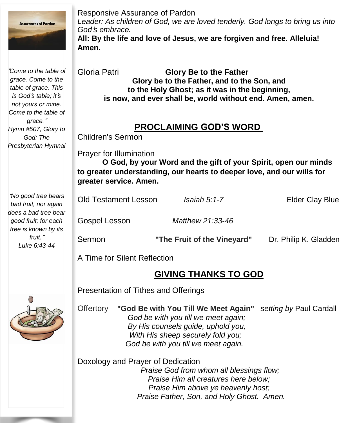

Responsive Assurance of Pardon *Leader: As children of God, we are loved tenderly. God longs to bring us into God*'*s embrace.* **All: By the life and love of Jesus, we are forgiven and free. Alleluia! Amen.**

| "Come to the table of<br>grace. Come to the<br>table of grace. This<br>is God's table; it's<br>not yours or mine.<br>Come to the table of      | Gloria Patri<br><b>Glory Be to the Father</b><br>Glory be to the Father, and to the Son, and<br>to the Holy Ghost; as it was in the beginning,<br>is now, and ever shall be, world without end. Amen, amen.<br><b>PROCLAIMING GOD'S WORD</b><br><b>Children's Sermon</b> |                             |                        |
|------------------------------------------------------------------------------------------------------------------------------------------------|--------------------------------------------------------------------------------------------------------------------------------------------------------------------------------------------------------------------------------------------------------------------------|-----------------------------|------------------------|
| grace."<br>Hymn #507, Glory to<br>God: The<br>Presbyterian Hymnal                                                                              |                                                                                                                                                                                                                                                                          |                             |                        |
|                                                                                                                                                | Prayer for Illumination<br>O God, by your Word and the gift of your Spirit, open our minds<br>to greater understanding, our hearts to deeper love, and our wills for<br>greater service. Amen.                                                                           |                             |                        |
| "No good tree bears<br>bad fruit, nor again<br>does a bad tree bear<br>good fruit; for each<br>tree is known by its<br>fruit."<br>Luke 6:43-44 | <b>Old Testament Lesson</b>                                                                                                                                                                                                                                              | $Isaiah 5:1-7$              | <b>Elder Clay Blue</b> |
|                                                                                                                                                | Gospel Lesson                                                                                                                                                                                                                                                            | Matthew 21:33-46            |                        |
|                                                                                                                                                | Sermon                                                                                                                                                                                                                                                                   | "The Fruit of the Vineyard" | Dr. Philip K. Gladden  |
|                                                                                                                                                | A Time for Silent Reflection                                                                                                                                                                                                                                             |                             |                        |
|                                                                                                                                                |                                                                                                                                                                                                                                                                          | <b>GIVING THANKS TO GOD</b> |                        |

Presentation of Tithes and Offerings

Offertory **"God Be with You Till We Meet Again"** *setting by* Paul Cardall *God be with you till we meet again; By His counsels guide, uphold you, With His sheep securely fold you; God be with you till we meet again.*

Doxology and Prayer of Dedication *Praise God from whom all blessings flow; Praise Him all creatures here below; Praise Him above ye heavenly host; Praise Father, Son, and Holy Ghost. Amen.*

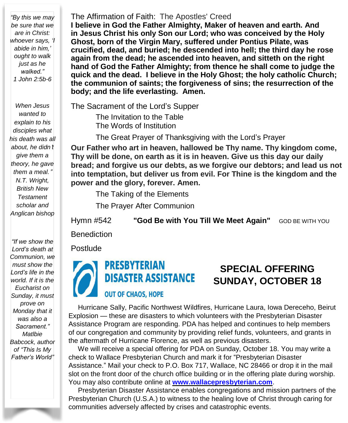*"By this we may be sure that we are in Christ: whoever says, 'I abide in him,' ought to walk just as he walked." 1 John 2:5b-6*

*When Jesus wanted to explain to his disciples what his death was all about, he didn*'*t give them a theory, he gave them a meal.*" *N.T. Wright, British New Testament scholar and Anglican bishop*

*"If we show the Lord's death at Communion, we must show the Lord's life in the world. If it is the Eucharist on Sunday, it must prove on Monday that it was also a Sacrament." Matlbie Babcock, author of "This Is My Father's World"*

#### The Affirmation of Faith: The Apostles' Creed

**I believe in God the Father Almighty, Maker of heaven and earth. And in Jesus Christ his only Son our Lord; who was conceived by the Holy Ghost, born of the Virgin Mary, suffered under Pontius Pilate, was crucified, dead, and buried; he descended into hell; the third day he rose again from the dead; he ascended into heaven, and sitteth on the right hand of God the Father Almighty; from thence he shall come to judge the quick and the dead. I believe in the Holy Ghost; the holy catholic Church; the communion of saints; the forgiveness of sins; the resurrection of the body; and the life everlasting. Amen.**

The Sacrament of the Lord's Supper

The Invitation to the Table The Words of Institution

The Great Prayer of Thanksgiving with the Lord's Prayer

 **bread; and forgive us our debts, as we forgive our debtors; and lead us not into temptation, but deliver us from evil. For Thine is the kingdom and the Our Father who art in heaven, hallowed be Thy name. Thy kingdom come, Thy will be done, on earth as it is in heaven. Give us this day our daily power and the glory, forever. Amen.**

The Taking of the Elements

The Prayer After Communion

Hymn #542 **"God Be with You Till We Meet Again"** GOD BE WITH YOU

**Benediction** 

Postlude



**PRESBYTERIAN DISASTER ASSISTANCE** 

# **SPECIAL OFFERING SUNDAY, OCTOBER 18**

### **OUT OF CHAOS, HOPE**

 of our congregation and community by providing relief funds, volunteers, and grants in Hurricane Sally, Pacific Northwest Wildfires, Hurricane Laura, Iowa Dereceho, Beirut Explosion — these are disasters to which volunteers with the Presbyterian Disaster Assistance Program are responding. PDA has helped and continues to help members the aftermath of Hurricane Florence, as well as previous disasters.

 We will receive a special offering for PDA on Sunday, October 18. You may write a check to Wallace Presbyterian Church and mark it for "Presbyterian Disaster Assistance." Mail your check to P.O. Box 717, Wallace, NC 28466 or drop it in the mail slot on the front door of the church office building or in the offering plate during worship. You may also contribute online at **[www.wallacepresbyterian.com](http://www.wallacepresbyterian.com/)**.

 Presbyterian Disaster Assistance enables congregations and mission partners of the Presbyterian Church (U.S.A.) to witness to the healing love of Christ through caring for communities adversely affected by crises and catastrophic events.